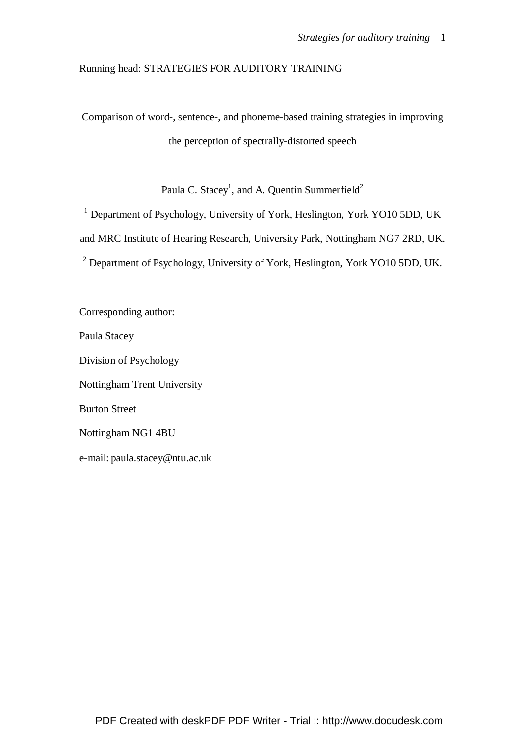# Running head: STRATEGIES FOR AUDITORY TRAINING

Comparison of word-, sentence-, and phoneme-based training strategies in improving the perception of spectrally-distorted speech

Paula C. Stacey<sup>1</sup>, and A. Quentin Summerfield<sup>2</sup>

<sup>1</sup> Department of Psychology, University of York, Heslington, York YO10 5DD, UK and MRC Institute of Hearing Research, University Park, Nottingham NG7 2RD, UK. <sup>2</sup> Department of Psychology, University of York, Heslington, York YO10 5DD, UK.

Corresponding author: Paula Stacey Division of Psychology Nottingham Trent University Burton Street Nottingham NG1 4BU e-mail: paula.stacey@ntu.ac.uk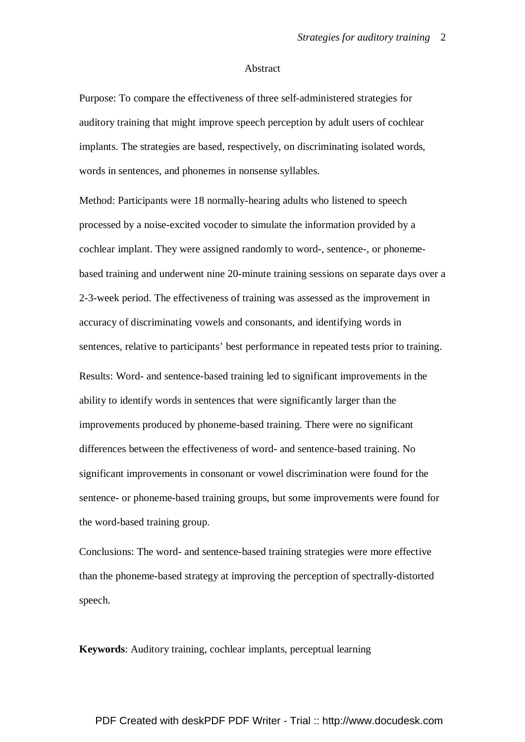#### Abstract

Purpose: To compare the effectiveness of three self-administered strategies for auditory training that might improve speech perception by adult users of cochlear implants. The strategies are based, respectively, on discriminating isolated words, words in sentences, and phonemes in nonsense syllables.

Method: Participants were 18 normally-hearing adults who listened to speech processed by a noise-excited vocoder to simulate the information provided by a cochlear implant. They were assigned randomly to word-, sentence-, or phonemebased training and underwent nine 20-minute training sessions on separate days over a 2-3-week period. The effectiveness of training was assessed as the improvement in accuracy of discriminating vowels and consonants, and identifying words in sentences, relative to participants' best performance in repeated tests prior to training. Results: Word- and sentence-based training led to significant improvements in the ability to identify words in sentences that were significantly larger than the improvements produced by phoneme-based training. There were no significant differences between the effectiveness of word- and sentence-based training. No significant improvements in consonant or vowel discrimination were found for the sentence- or phoneme-based training groups, but some improvements were found for the word-based training group.

Conclusions: The word- and sentence-based training strategies were more effective than the phoneme-based strategy at improving the perception of spectrally-distorted speech.

**Keywords**: Auditory training, cochlear implants, perceptual learning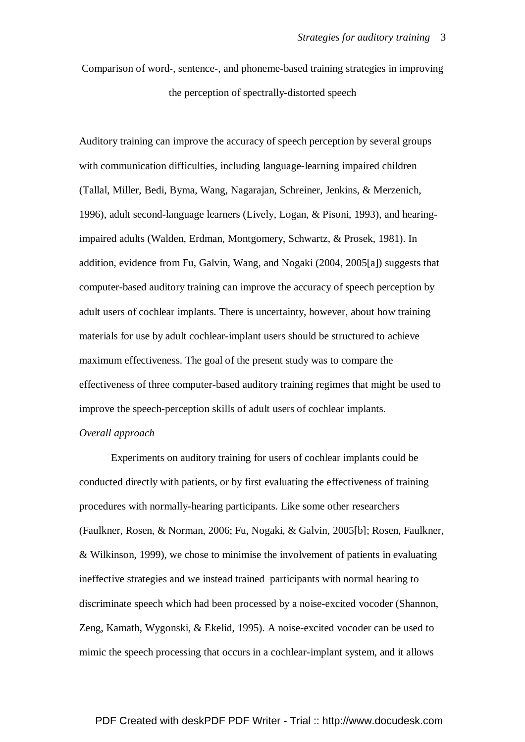Comparison of word-, sentence-, and phoneme-based training strategies in improving the perception of spectrally-distorted speech

Auditory training can improve the accuracy of speech perception by several groups with communication difficulties, including language-learning impaired children (Tallal, Miller, Bedi, Byma, Wang, Nagarajan, Schreiner, Jenkins, & Merzenich, 1996), adult second-language learners (Lively, Logan, & Pisoni, 1993), and hearingimpaired adults (Walden, Erdman, Montgomery, Schwartz, & Prosek, 1981). In addition, evidence from Fu, Galvin, Wang, and Nogaki (2004, 2005[a]) suggests that computer-based auditory training can improve the accuracy of speech perception by adult users of cochlear implants. There is uncertainty, however, about how training materials for use by adult cochlear-implant users should be structured to achieve maximum effectiveness. The goal of the present study was to compare the effectiveness of three computer-based auditory training regimes that might be used to improve the speech-perception skills of adult users of cochlear implants.

# *Overall approach*

Experiments on auditory training for users of cochlear implants could be conducted directly with patients, or by first evaluating the effectiveness of training procedures with normally-hearing participants. Like some other researchers (Faulkner, Rosen, & Norman, 2006; Fu, Nogaki, & Galvin, 2005[b]; Rosen, Faulkner, & Wilkinson, 1999), we chose to minimise the involvement of patients in evaluating ineffective strategies and we instead trained participants with normal hearing to discriminate speech which had been processed by a noise-excited vocoder (Shannon, Zeng, Kamath, Wygonski, & Ekelid, 1995). A noise-excited vocoder can be used to mimic the speech processing that occurs in a cochlear-implant system, and it allows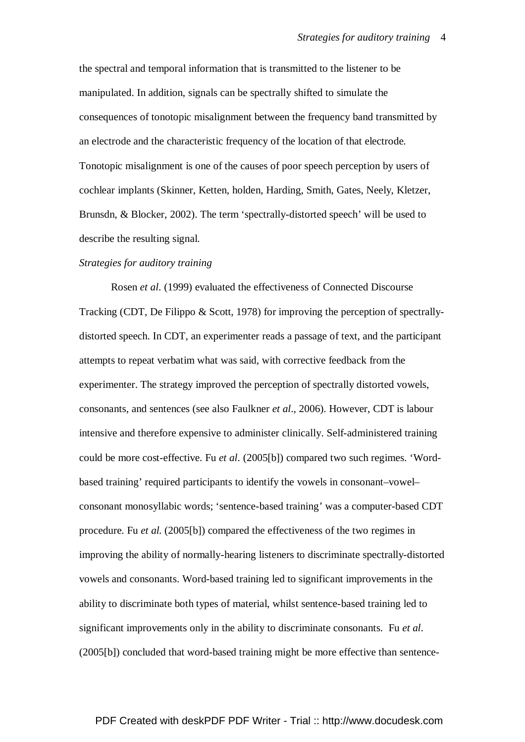the spectral and temporal information that is transmitted to the listener to be manipulated. In addition, signals can be spectrally shifted to simulate the consequences of tonotopic misalignment between the frequency band transmitted by an electrode and the characteristic frequency of the location of that electrode. Tonotopic misalignment is one of the causes of poor speech perception by users of cochlear implants (Skinner, Ketten, holden, Harding, Smith, Gates, Neely, Kletzer, Brunsdn, & Blocker, 2002). The term 'spectrally-distorted speech' will be used to describe the resulting signal.

# *Strategies for auditory training*

Rosen *et al*. (1999) evaluated the effectiveness of Connected Discourse Tracking (CDT, De Filippo & Scott, 1978) for improving the perception of spectrallydistorted speech. In CDT, an experimenter reads a passage of text, and the participant attempts to repeat verbatim what was said, with corrective feedback from the experimenter. The strategy improved the perception of spectrally distorted vowels, consonants, and sentences (see also Faulkner *et al*., 2006). However, CDT is labour intensive and therefore expensive to administer clinically. Self-administered training could be more cost-effective. Fu *et al*. (2005[b]) compared two such regimes. 'Wordbased training' required participants to identify the vowels in consonant–vowel– consonant monosyllabic words; 'sentence-based training' was a computer-based CDT procedure. Fu *et al.* (2005[b]) compared the effectiveness of the two regimes in improving the ability of normally-hearing listeners to discriminate spectrally-distorted vowels and consonants. Word-based training led to significant improvements in the ability to discriminate both types of material, whilst sentence-based training led to significant improvements only in the ability to discriminate consonants. Fu *et al*. (2005[b]) concluded that word-based training might be more effective than sentence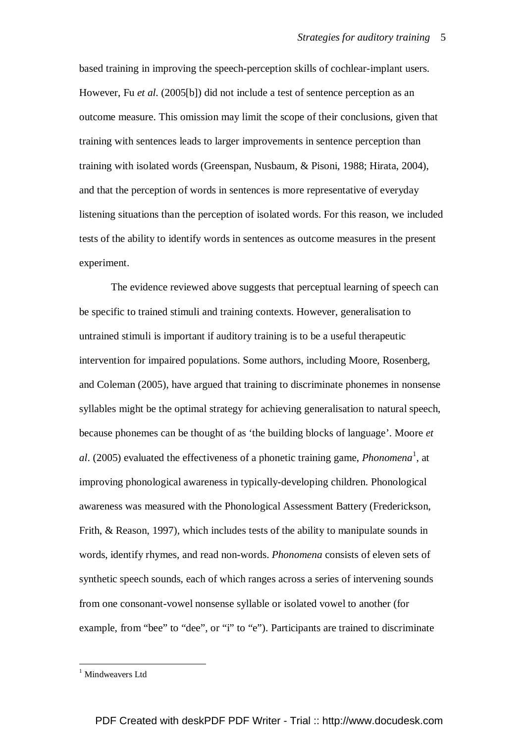based training in improving the speech-perception skills of cochlear-implant users. However, Fu *et al*. (2005[b]) did not include a test of sentence perception as an outcome measure. This omission may limit the scope of their conclusions, given that training with sentences leads to larger improvements in sentence perception than training with isolated words (Greenspan, Nusbaum, & Pisoni, 1988; Hirata, 2004), and that the perception of words in sentences is more representative of everyday listening situations than the perception of isolated words. For this reason, we included tests of the ability to identify words in sentences as outcome measures in the present experiment.

The evidence reviewed above suggests that perceptual learning of speech can be specific to trained stimuli and training contexts. However, generalisation to untrained stimuli is important if auditory training is to be a useful therapeutic intervention for impaired populations. Some authors, including Moore, Rosenberg, and Coleman (2005), have argued that training to discriminate phonemes in nonsense syllables might be the optimal strategy for achieving generalisation to natural speech, because phonemes can be thought of as 'the building blocks of language'. Moore *et*  al. (2005) evaluated the effectiveness of a phonetic training game, *Phonomena*<sup>1</sup>, at improving phonological awareness in typically-developing children. Phonological awareness was measured with the Phonological Assessment Battery (Frederickson, Frith, & Reason, 1997), which includes tests of the ability to manipulate sounds in words, identify rhymes, and read non-words. *Phonomena* consists of eleven sets of synthetic speech sounds, each of which ranges across a series of intervening sounds from one consonant-vowel nonsense syllable or isolated vowel to another (for example, from "bee" to "dee", or "i" to "e"). Participants are trained to discriminate

 $\overline{a}$ 

<sup>&</sup>lt;sup>1</sup> Mindweavers Ltd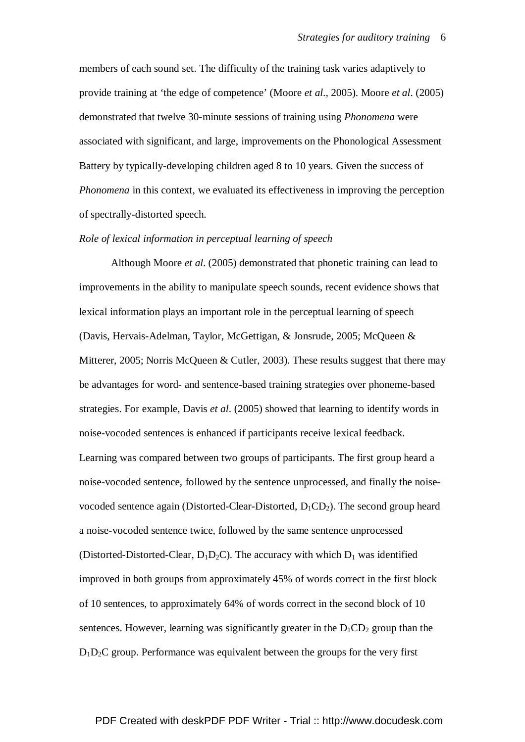members of each sound set. The difficulty of the training task varies adaptively to provide training at 'the edge of competence' (Moore *et al*., 2005). Moore *et al*. (2005) demonstrated that twelve 30-minute sessions of training using *Phonomena* were associated with significant, and large, improvements on the Phonological Assessment Battery by typically-developing children aged 8 to 10 years. Given the success of *Phonomena* in this context, we evaluated its effectiveness in improving the perception of spectrally-distorted speech.

# *Role of lexical information in perceptual learning of speech*

Although Moore *et al*. (2005) demonstrated that phonetic training can lead to improvements in the ability to manipulate speech sounds, recent evidence shows that lexical information plays an important role in the perceptual learning of speech (Davis, Hervais-Adelman, Taylor, McGettigan, & Jonsrude, 2005; McQueen & Mitterer, 2005; Norris McQueen & Cutler, 2003). These results suggest that there may be advantages for word- and sentence-based training strategies over phoneme-based strategies. For example, Davis *et al*. (2005) showed that learning to identify words in noise-vocoded sentences is enhanced if participants receive lexical feedback. Learning was compared between two groups of participants. The first group heard a noise-vocoded sentence, followed by the sentence unprocessed, and finally the noisevocoded sentence again (Distorted-Clear-Distorted,  $D_1CD_2$ ). The second group heard a noise-vocoded sentence twice, followed by the same sentence unprocessed (Distorted-Distorted-Clear,  $D_1D_2C$ ). The accuracy with which  $D_1$  was identified improved in both groups from approximately 45% of words correct in the first block of 10 sentences, to approximately 64% of words correct in the second block of 10 sentences. However, learning was significantly greater in the  $D_1CD_2$  group than the  $D_1D_2C$  group. Performance was equivalent between the groups for the very first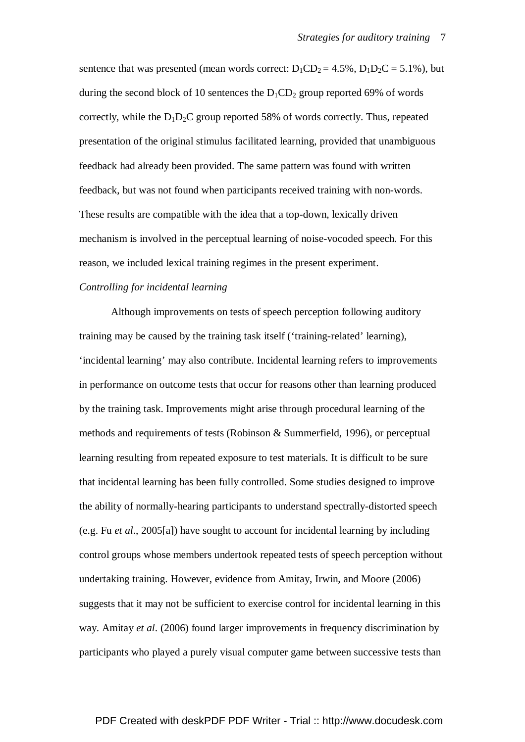sentence that was presented (mean words correct:  $D_1CD_2 = 4.5\%$ ,  $D_1D_2C = 5.1\%$ ), but during the second block of 10 sentences the  $D_1CD_2$  group reported 69% of words correctly, while the  $D_1D_2C$  group reported 58% of words correctly. Thus, repeated presentation of the original stimulus facilitated learning, provided that unambiguous feedback had already been provided. The same pattern was found with written feedback, but was not found when participants received training with non-words. These results are compatible with the idea that a top-down, lexically driven mechanism is involved in the perceptual learning of noise-vocoded speech. For this reason, we included lexical training regimes in the present experiment.

# *Controlling for incidental learning*

Although improvements on tests of speech perception following auditory training may be caused by the training task itself ('training-related' learning), 'incidental learning' may also contribute. Incidental learning refers to improvements in performance on outcome tests that occur for reasons other than learning produced by the training task. Improvements might arise through procedural learning of the methods and requirements of tests (Robinson & Summerfield, 1996), or perceptual learning resulting from repeated exposure to test materials. It is difficult to be sure that incidental learning has been fully controlled. Some studies designed to improve the ability of normally-hearing participants to understand spectrally-distorted speech (e.g. Fu *et al*., 2005[a]) have sought to account for incidental learning by including control groups whose members undertook repeated tests of speech perception without undertaking training. However, evidence from Amitay, Irwin, and Moore (2006) suggests that it may not be sufficient to exercise control for incidental learning in this way. Amitay *et al*. (2006) found larger improvements in frequency discrimination by participants who played a purely visual computer game between successive tests than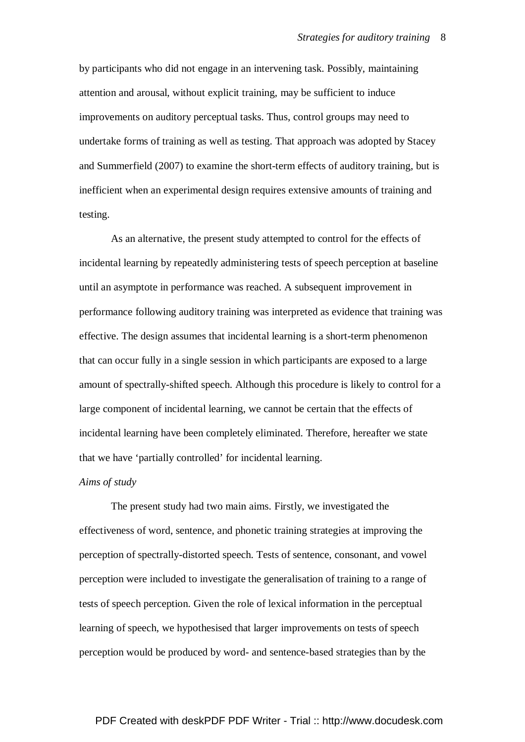by participants who did not engage in an intervening task. Possibly, maintaining attention and arousal, without explicit training, may be sufficient to induce improvements on auditory perceptual tasks. Thus, control groups may need to undertake forms of training as well as testing. That approach was adopted by Stacey and Summerfield (2007) to examine the short-term effects of auditory training, but is inefficient when an experimental design requires extensive amounts of training and testing.

As an alternative, the present study attempted to control for the effects of incidental learning by repeatedly administering tests of speech perception at baseline until an asymptote in performance was reached. A subsequent improvement in performance following auditory training was interpreted as evidence that training was effective. The design assumes that incidental learning is a short-term phenomenon that can occur fully in a single session in which participants are exposed to a large amount of spectrally-shifted speech. Although this procedure is likely to control for a large component of incidental learning, we cannot be certain that the effects of incidental learning have been completely eliminated. Therefore, hereafter we state that we have 'partially controlled' for incidental learning.

# *Aims of study*

 The present study had two main aims. Firstly, we investigated the effectiveness of word, sentence, and phonetic training strategies at improving the perception of spectrally-distorted speech. Tests of sentence, consonant, and vowel perception were included to investigate the generalisation of training to a range of tests of speech perception. Given the role of lexical information in the perceptual learning of speech, we hypothesised that larger improvements on tests of speech perception would be produced by word- and sentence-based strategies than by the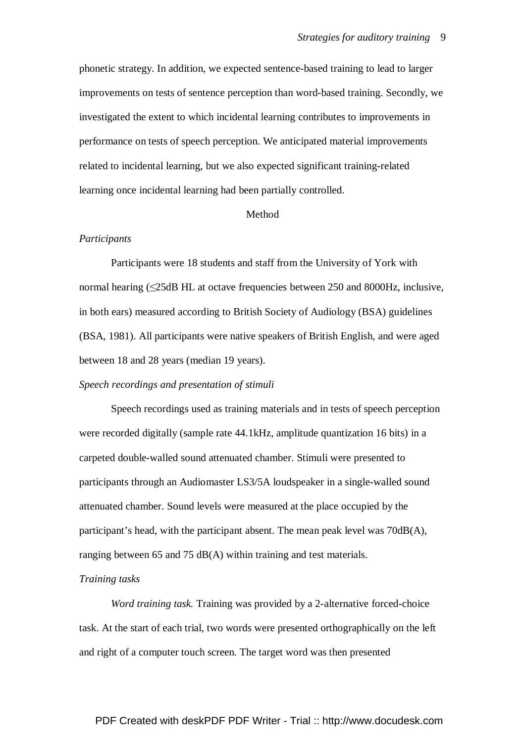phonetic strategy. In addition, we expected sentence-based training to lead to larger improvements on tests of sentence perception than word-based training. Secondly, we investigated the extent to which incidental learning contributes to improvements in performance on tests of speech perception. We anticipated material improvements related to incidental learning, but we also expected significant training-related learning once incidental learning had been partially controlled.

### Method

### *Participants*

 Participants were 18 students and staff from the University of York with normal hearing (≤25dB HL at octave frequencies between 250 and 8000Hz, inclusive, in both ears) measured according to British Society of Audiology (BSA) guidelines (BSA, 1981). All participants were native speakers of British English, and were aged between 18 and 28 years (median 19 years).

### *Speech recordings and presentation of stimuli*

 Speech recordings used as training materials and in tests of speech perception were recorded digitally (sample rate 44.1kHz, amplitude quantization 16 bits) in a carpeted double-walled sound attenuated chamber. Stimuli were presented to participants through an Audiomaster LS3/5A loudspeaker in a single-walled sound attenuated chamber. Sound levels were measured at the place occupied by the participant's head, with the participant absent. The mean peak level was 70dB(A), ranging between 65 and 75 dB(A) within training and test materials.

### *Training tasks*

*Word training task.* Training was provided by a 2-alternative forced-choice task. At the start of each trial, two words were presented orthographically on the left and right of a computer touch screen. The target word was then presented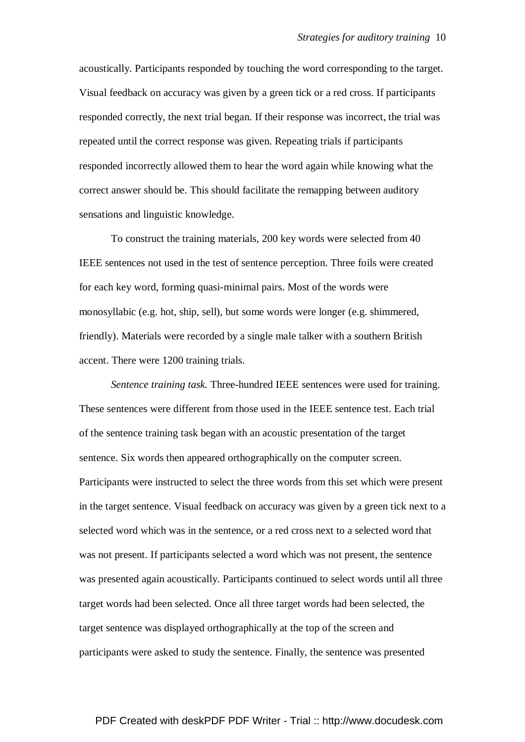acoustically. Participants responded by touching the word corresponding to the target. Visual feedback on accuracy was given by a green tick or a red cross. If participants responded correctly, the next trial began. If their response was incorrect, the trial was repeated until the correct response was given. Repeating trials if participants responded incorrectly allowed them to hear the word again while knowing what the correct answer should be. This should facilitate the remapping between auditory sensations and linguistic knowledge.

 To construct the training materials, 200 key words were selected from 40 IEEE sentences not used in the test of sentence perception. Three foils were created for each key word, forming quasi-minimal pairs. Most of the words were monosyllabic (e.g. hot, ship, sell), but some words were longer (e.g. shimmered, friendly). Materials were recorded by a single male talker with a southern British accent. There were 1200 training trials.

*Sentence training task.* Three-hundred IEEE sentences were used for training. These sentences were different from those used in the IEEE sentence test. Each trial of the sentence training task began with an acoustic presentation of the target sentence. Six words then appeared orthographically on the computer screen. Participants were instructed to select the three words from this set which were present in the target sentence. Visual feedback on accuracy was given by a green tick next to a selected word which was in the sentence, or a red cross next to a selected word that was not present. If participants selected a word which was not present, the sentence was presented again acoustically. Participants continued to select words until all three target words had been selected. Once all three target words had been selected, the target sentence was displayed orthographically at the top of the screen and participants were asked to study the sentence. Finally, the sentence was presented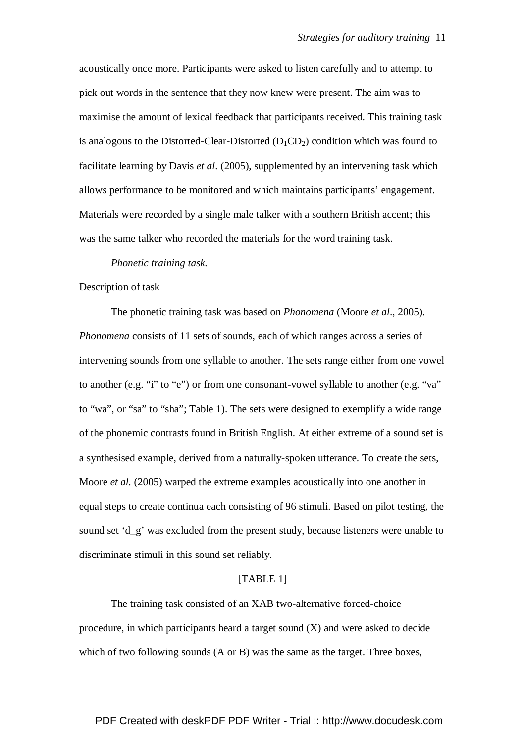acoustically once more. Participants were asked to listen carefully and to attempt to pick out words in the sentence that they now knew were present. The aim was to maximise the amount of lexical feedback that participants received. This training task is analogous to the Distorted-Clear-Distorted  $(D_1CD_2)$  condition which was found to facilitate learning by Davis *et al*. (2005), supplemented by an intervening task which allows performance to be monitored and which maintains participants' engagement. Materials were recorded by a single male talker with a southern British accent; this was the same talker who recorded the materials for the word training task.

#### *Phonetic training task.*

### Description of task

The phonetic training task was based on *Phonomena* (Moore *et al*., 2005). *Phonomena* consists of 11 sets of sounds, each of which ranges across a series of intervening sounds from one syllable to another. The sets range either from one vowel to another (e.g. "i" to "e") or from one consonant-vowel syllable to another (e.g. "va" to "wa", or "sa" to "sha"; Table 1). The sets were designed to exemplify a wide range of the phonemic contrasts found in British English. At either extreme of a sound set is a synthesised example, derived from a naturally-spoken utterance. To create the sets, Moore *et al.* (2005) warped the extreme examples acoustically into one another in equal steps to create continua each consisting of 96 stimuli. Based on pilot testing, the sound set 'd\_g' was excluded from the present study, because listeners were unable to discriminate stimuli in this sound set reliably.

### [TABLE 1]

The training task consisted of an XAB two-alternative forced-choice procedure, in which participants heard a target sound  $(X)$  and were asked to decide which of two following sounds (A or B) was the same as the target. Three boxes,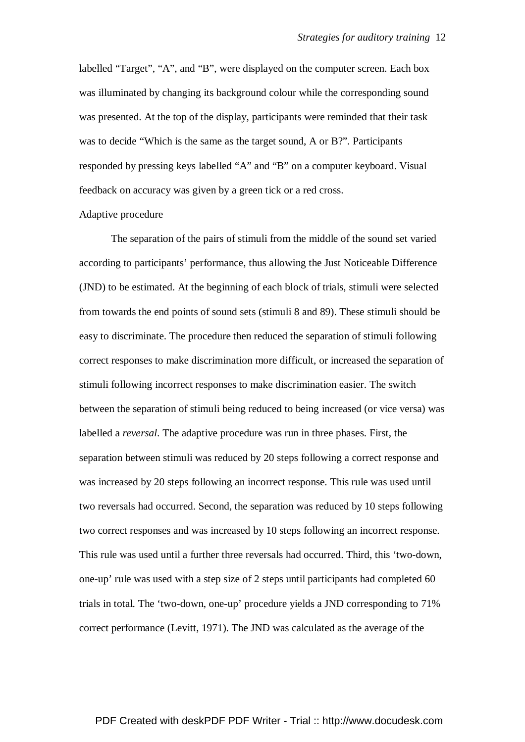labelled "Target", "A", and "B", were displayed on the computer screen. Each box was illuminated by changing its background colour while the corresponding sound was presented. At the top of the display, participants were reminded that their task was to decide "Which is the same as the target sound, A or B?". Participants responded by pressing keys labelled "A" and "B" on a computer keyboard. Visual feedback on accuracy was given by a green tick or a red cross.

#### Adaptive procedure

 The separation of the pairs of stimuli from the middle of the sound set varied according to participants' performance, thus allowing the Just Noticeable Difference (JND) to be estimated. At the beginning of each block of trials, stimuli were selected from towards the end points of sound sets (stimuli 8 and 89). These stimuli should be easy to discriminate. The procedure then reduced the separation of stimuli following correct responses to make discrimination more difficult, or increased the separation of stimuli following incorrect responses to make discrimination easier. The switch between the separation of stimuli being reduced to being increased (or vice versa) was labelled a *reversal*. The adaptive procedure was run in three phases. First, the separation between stimuli was reduced by 20 steps following a correct response and was increased by 20 steps following an incorrect response. This rule was used until two reversals had occurred. Second, the separation was reduced by 10 steps following two correct responses and was increased by 10 steps following an incorrect response. This rule was used until a further three reversals had occurred. Third, this 'two-down, one-up' rule was used with a step size of 2 steps until participants had completed 60 trials in total. The 'two-down, one-up' procedure yields a JND corresponding to 71% correct performance (Levitt, 1971). The JND was calculated as the average of the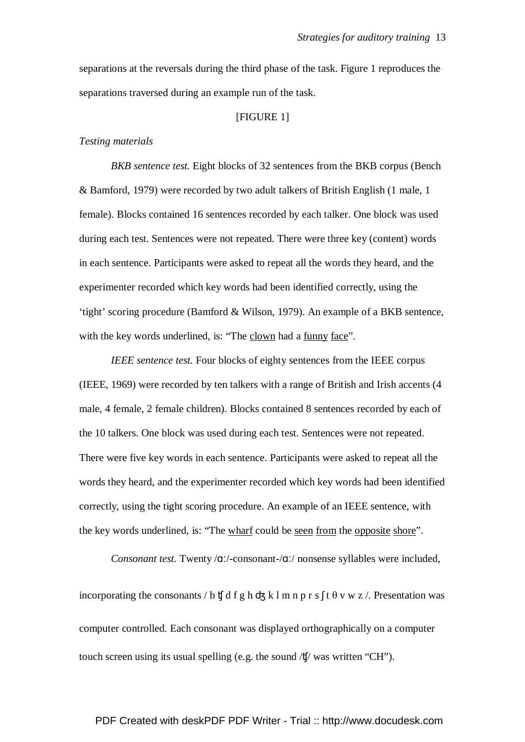separations at the reversals during the third phase of the task. Figure 1 reproduces the separations traversed during an example run of the task.

### [FIGURE 1]

## *Testing materials*

*BKB sentence test.* Eight blocks of 32 sentences from the BKB corpus (Bench & Bamford, 1979) were recorded by two adult talkers of British English (1 male, 1 female). Blocks contained 16 sentences recorded by each talker. One block was used during each test. Sentences were not repeated. There were three key (content) words in each sentence. Participants were asked to repeat all the words they heard, and the experimenter recorded which key words had been identified correctly, using the 'tight' scoring procedure (Bamford & Wilson, 1979). An example of a BKB sentence, with the key words underlined, is: "The clown had a funny face".

*IEEE sentence test.* Four blocks of eighty sentences from the IEEE corpus (IEEE, 1969) were recorded by ten talkers with a range of British and Irish accents (4 male, 4 female, 2 female children). Blocks contained 8 sentences recorded by each of the 10 talkers. One block was used during each test. Sentences were not repeated. There were five key words in each sentence. Participants were asked to repeat all the words they heard, and the experimenter recorded which key words had been identified correctly, using the tight scoring procedure. An example of an IEEE sentence, with the key words underlined, is: "The wharf could be seen from the opposite shore".

*Consonant test.* Twenty /ɑː/-consonant-/ɑː/ nonsense syllables were included,

incorporating the consonants / b  $\sharp$  d f g h  $\sharp$  k l m n p r s  $\sharp$  t  $\theta$  v w z  $\ell$ . Presentation was computer controlled. Each consonant was displayed orthographically on a computer touch screen using its usual spelling (e.g. the sound /ʧ/ was written "CH").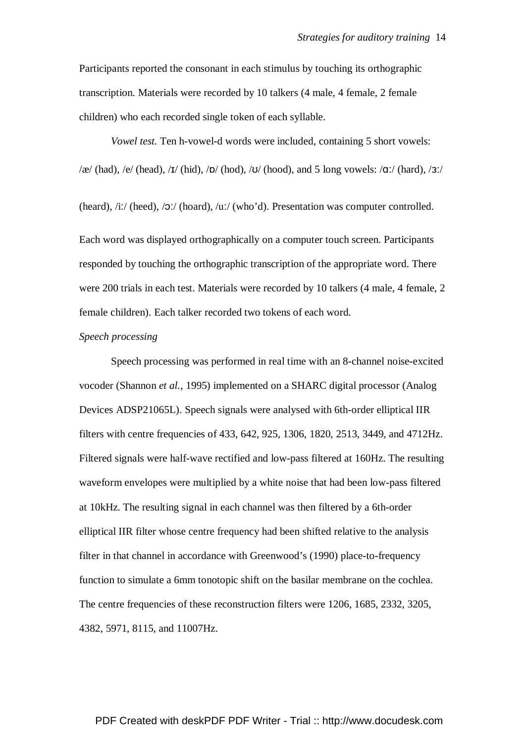Participants reported the consonant in each stimulus by touching its orthographic transcription. Materials were recorded by 10 talkers (4 male, 4 female, 2 female children) who each recorded single token of each syllable.

*Vowel test.* Ten h-vowel-d words were included, containing 5 short vowels:  $\alpha$ /(had), /e/ (head), /I/ (hid), /D/ (hod), /U/ (hood), and 5 long vowels: /q:/ (hard), /3:/

(heard), /iː/ (heed), /ɔː/ (hoard), /uː/ (who'd). Presentation was computer controlled.

Each word was displayed orthographically on a computer touch screen. Participants responded by touching the orthographic transcription of the appropriate word. There were 200 trials in each test. Materials were recorded by 10 talkers (4 male, 4 female, 2 female children). Each talker recorded two tokens of each word.

# *Speech processing*

 Speech processing was performed in real time with an 8-channel noise-excited vocoder (Shannon *et al.*, 1995) implemented on a SHARC digital processor (Analog Devices ADSP21065L). Speech signals were analysed with 6th-order elliptical IIR filters with centre frequencies of 433, 642, 925, 1306, 1820, 2513, 3449, and 4712Hz. Filtered signals were half-wave rectified and low-pass filtered at 160Hz. The resulting waveform envelopes were multiplied by a white noise that had been low-pass filtered at 10kHz. The resulting signal in each channel was then filtered by a 6th-order elliptical IIR filter whose centre frequency had been shifted relative to the analysis filter in that channel in accordance with Greenwood's (1990) place-to-frequency function to simulate a 6mm tonotopic shift on the basilar membrane on the cochlea. The centre frequencies of these reconstruction filters were 1206, 1685, 2332, 3205, 4382, 5971, 8115, and 11007Hz.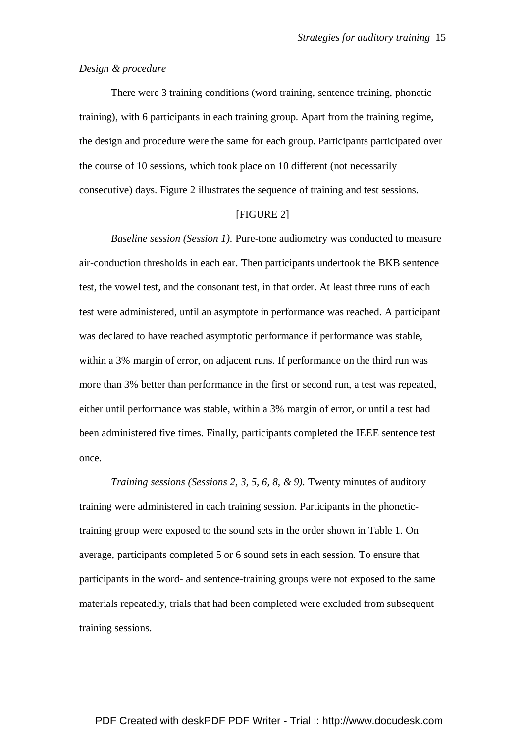# *Design & procedure*

 There were 3 training conditions (word training, sentence training, phonetic training), with 6 participants in each training group. Apart from the training regime, the design and procedure were the same for each group. Participants participated over the course of 10 sessions, which took place on 10 different (not necessarily consecutive) days. Figure 2 illustrates the sequence of training and test sessions.

### [FIGURE 2]

*Baseline session (Session 1).* Pure-tone audiometry was conducted to measure air-conduction thresholds in each ear. Then participants undertook the BKB sentence test, the vowel test, and the consonant test, in that order. At least three runs of each test were administered, until an asymptote in performance was reached. A participant was declared to have reached asymptotic performance if performance was stable, within a 3% margin of error, on adjacent runs. If performance on the third run was more than 3% better than performance in the first or second run, a test was repeated, either until performance was stable, within a 3% margin of error, or until a test had been administered five times. Finally, participants completed the IEEE sentence test once.

*Training sessions (Sessions 2, 3, 5, 6, 8, & 9).* Twenty minutes of auditory training were administered in each training session. Participants in the phonetictraining group were exposed to the sound sets in the order shown in Table 1. On average, participants completed 5 or 6 sound sets in each session. To ensure that participants in the word- and sentence-training groups were not exposed to the same materials repeatedly, trials that had been completed were excluded from subsequent training sessions.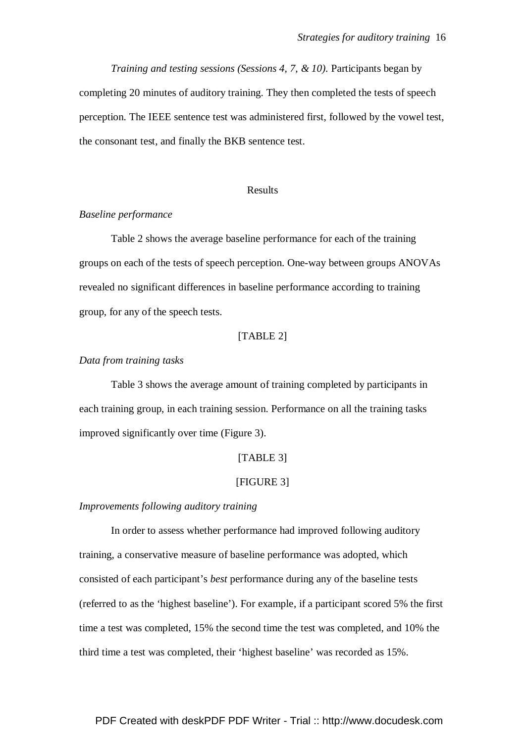*Training and testing sessions (Sessions 4, 7, & 10).* Participants began by completing 20 minutes of auditory training. They then completed the tests of speech perception. The IEEE sentence test was administered first, followed by the vowel test, the consonant test, and finally the BKB sentence test.

### Results

# *Baseline performance*

 Table 2 shows the average baseline performance for each of the training groups on each of the tests of speech perception. One-way between groups ANOVAs revealed no significant differences in baseline performance according to training group, for any of the speech tests.

# [TABLE 2]

# *Data from training tasks*

 Table 3 shows the average amount of training completed by participants in each training group, in each training session. Performance on all the training tasks improved significantly over time (Figure 3).

# [TABLE 3]

### [FIGURE 3]

### *Improvements following auditory training*

In order to assess whether performance had improved following auditory training, a conservative measure of baseline performance was adopted, which consisted of each participant's *best* performance during any of the baseline tests (referred to as the 'highest baseline'). For example, if a participant scored 5% the first time a test was completed, 15% the second time the test was completed, and 10% the third time a test was completed, their 'highest baseline' was recorded as 15%.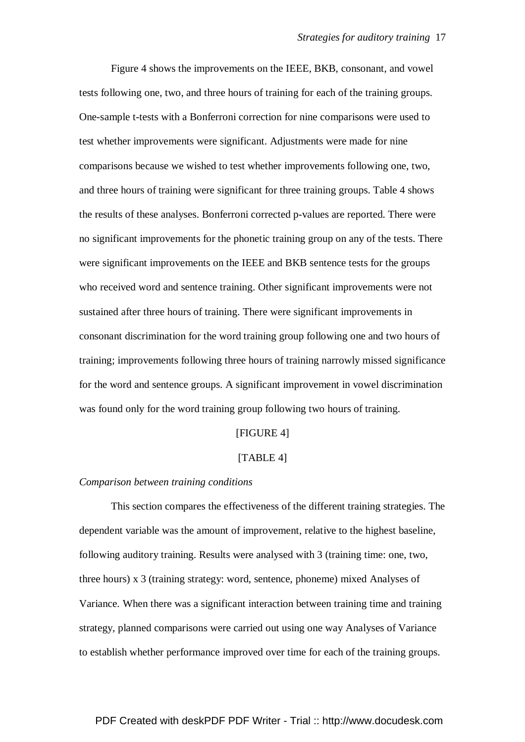Figure 4 shows the improvements on the IEEE, BKB, consonant, and vowel tests following one, two, and three hours of training for each of the training groups. One-sample t-tests with a Bonferroni correction for nine comparisons were used to test whether improvements were significant. Adjustments were made for nine comparisons because we wished to test whether improvements following one, two, and three hours of training were significant for three training groups. Table 4 shows the results of these analyses. Bonferroni corrected p-values are reported. There were no significant improvements for the phonetic training group on any of the tests. There were significant improvements on the IEEE and BKB sentence tests for the groups who received word and sentence training. Other significant improvements were not sustained after three hours of training. There were significant improvements in consonant discrimination for the word training group following one and two hours of training; improvements following three hours of training narrowly missed significance for the word and sentence groups. A significant improvement in vowel discrimination was found only for the word training group following two hours of training.

### [FIGURE 4]

### [TABLE 4]

### *Comparison between training conditions*

 This section compares the effectiveness of the different training strategies. The dependent variable was the amount of improvement, relative to the highest baseline, following auditory training. Results were analysed with 3 (training time: one, two, three hours) x 3 (training strategy: word, sentence, phoneme) mixed Analyses of Variance. When there was a significant interaction between training time and training strategy, planned comparisons were carried out using one way Analyses of Variance to establish whether performance improved over time for each of the training groups.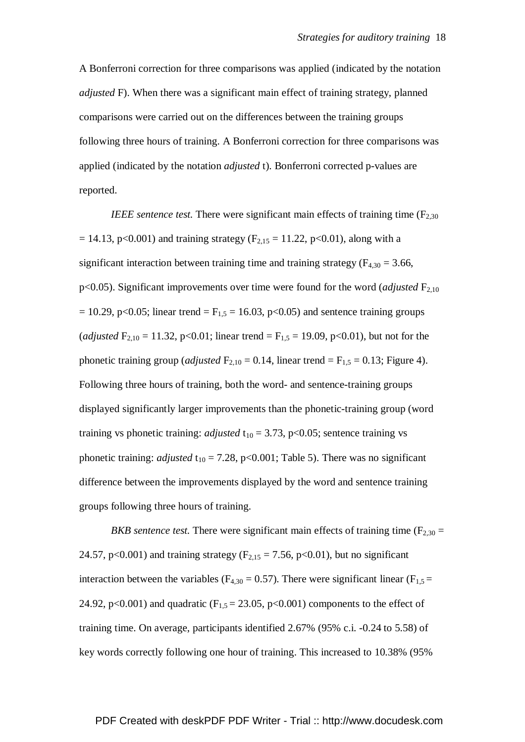A Bonferroni correction for three comparisons was applied (indicated by the notation *adjusted* F). When there was a significant main effect of training strategy, planned comparisons were carried out on the differences between the training groups following three hours of training. A Bonferroni correction for three comparisons was applied (indicated by the notation *adjusted* t). Bonferroni corrected p-values are reported.

*IEEE sentence test.* There were significant main effects of training time  $(F_{2,30})$  $= 14.13$ , p<0.001) and training strategy (F<sub>2,15</sub> = 11.22, p<0.01), along with a significant interaction between training time and training strategy ( $F_{4,30} = 3.66$ , p<0.05). Significant improvements over time were found for the word (*adjusted*  $F_{2,10}$  $= 10.29$ , p<0.05; linear trend  $=$  F<sub>1,5</sub>  $= 16.03$ , p<0.05) and sentence training groups (*adjusted*  $F_{2,10} = 11.32$ , p<0.01; linear trend =  $F_{1,5} = 19.09$ , p<0.01), but not for the phonetic training group (*adjusted*  $F_{2,10} = 0.14$ , linear trend =  $F_{1,5} = 0.13$ ; Figure 4). Following three hours of training, both the word- and sentence-training groups displayed significantly larger improvements than the phonetic-training group (word training vs phonetic training: *adjusted*  $t_{10} = 3.73$ , p<0.05; sentence training vs phonetic training: *adjusted*  $t_{10} = 7.28$ , p<0.001; Table 5). There was no significant difference between the improvements displayed by the word and sentence training groups following three hours of training.

*BKB sentence test.* There were significant main effects of training time ( $F_{2,30}$  = 24.57, p<0.001) and training strategy ( $F_{2,15} = 7.56$ , p<0.01), but no significant interaction between the variables ( $F_{4,30} = 0.57$ ). There were significant linear ( $F_{1,5} =$ 24.92, p<0.001) and quadratic ( $F_{1,5} = 23.05$ , p<0.001) components to the effect of training time. On average, participants identified 2.67% (95% c.i. -0.24 to 5.58) of key words correctly following one hour of training. This increased to 10.38% (95%

# PDF Created with deskPDF PDF Writer - Trial :: http://www.docudesk.com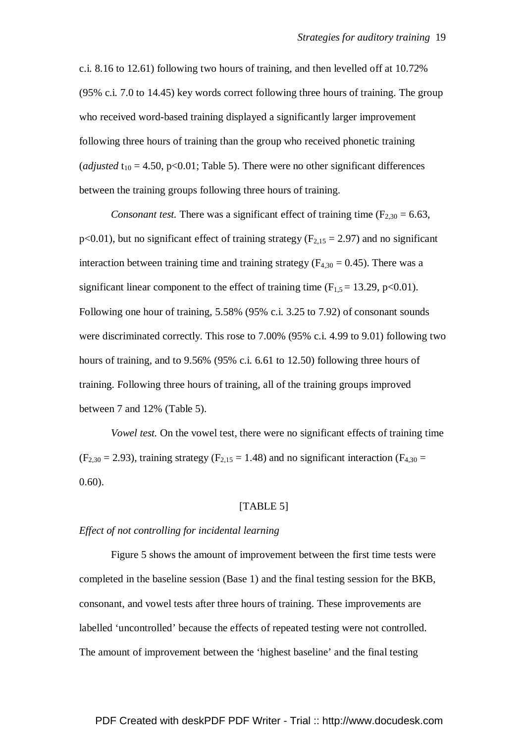c.i. 8.16 to 12.61) following two hours of training, and then levelled off at 10.72% (95% c.i. 7.0 to 14.45) key words correct following three hours of training. The group who received word-based training displayed a significantly larger improvement following three hours of training than the group who received phonetic training (*adjusted*  $t_{10} = 4.50$ ,  $p < 0.01$ ; Table 5). There were no other significant differences between the training groups following three hours of training.

*Consonant test.* There was a significant effect of training time  $(F_{2,30} = 6.63)$ , p<0.01), but no significant effect of training strategy ( $F<sub>2,15</sub> = 2.97$ ) and no significant interaction between training time and training strategy ( $F_{4,30} = 0.45$ ). There was a significant linear component to the effect of training time  $(F_{1,5} = 13.29, p<0.01)$ . Following one hour of training, 5.58% (95% c.i. 3.25 to 7.92) of consonant sounds were discriminated correctly. This rose to 7.00% (95% c.i. 4.99 to 9.01) following two hours of training, and to 9.56% (95% c.i. 6.61 to 12.50) following three hours of training. Following three hours of training, all of the training groups improved between 7 and 12% (Table 5).

*Vowel test.* On the vowel test, there were no significant effects of training time  $(F_{2,30} = 2.93)$ , training strategy  $(F_{2,15} = 1.48)$  and no significant interaction  $(F_{4,30} =$ 0.60).

# [TABLE 5]

### *Effect of not controlling for incidental learning*

 Figure 5 shows the amount of improvement between the first time tests were completed in the baseline session (Base 1) and the final testing session for the BKB, consonant, and vowel tests after three hours of training. These improvements are labelled 'uncontrolled' because the effects of repeated testing were not controlled. The amount of improvement between the 'highest baseline' and the final testing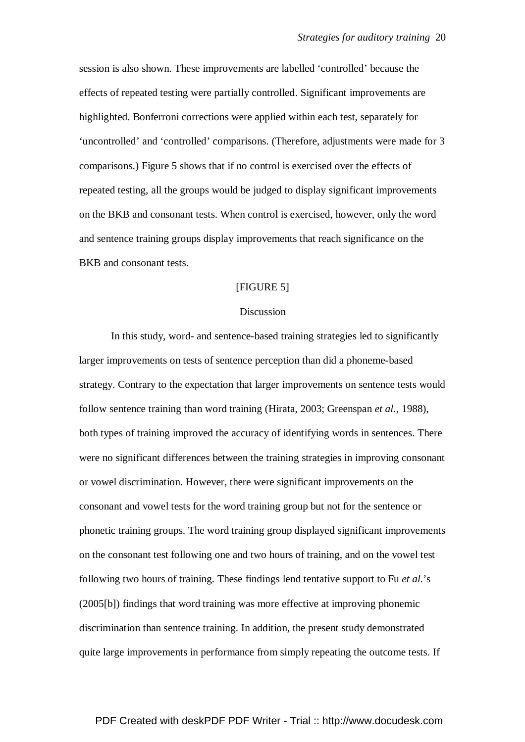session is also shown. These improvements are labelled 'controlled' because the effects of repeated testing were partially controlled. Significant improvements are highlighted. Bonferroni corrections were applied within each test, separately for 'uncontrolled' and 'controlled' comparisons. (Therefore, adjustments were made for 3 comparisons.) Figure 5 shows that if no control is exercised over the effects of repeated testing, all the groups would be judged to display significant improvements on the BKB and consonant tests. When control is exercised, however, only the word and sentence training groups display improvements that reach significance on the BKB and consonant tests.

# [FIGURE 5]

### **Discussion**

 In this study, word- and sentence-based training strategies led to significantly larger improvements on tests of sentence perception than did a phoneme-based strategy. Contrary to the expectation that larger improvements on sentence tests would follow sentence training than word training (Hirata, 2003; Greenspan *et al.*, 1988), both types of training improved the accuracy of identifying words in sentences. There were no significant differences between the training strategies in improving consonant or vowel discrimination. However, there were significant improvements on the consonant and vowel tests for the word training group but not for the sentence or phonetic training groups. The word training group displayed significant improvements on the consonant test following one and two hours of training, and on the vowel test following two hours of training. These findings lend tentative support to Fu *et al*.'s (2005[b]) findings that word training was more effective at improving phonemic discrimination than sentence training. In addition, the present study demonstrated quite large improvements in performance from simply repeating the outcome tests. If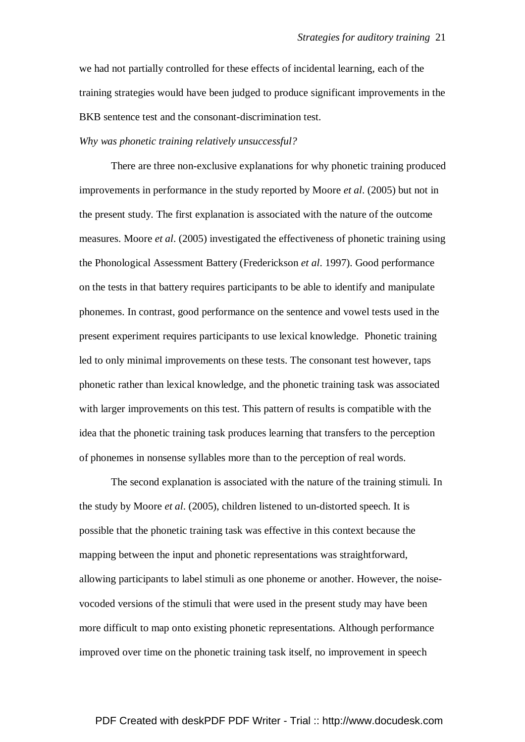we had not partially controlled for these effects of incidental learning, each of the training strategies would have been judged to produce significant improvements in the BKB sentence test and the consonant-discrimination test.

### *Why was phonetic training relatively unsuccessful?*

 There are three non-exclusive explanations for why phonetic training produced improvements in performance in the study reported by Moore *et al*. (2005) but not in the present study. The first explanation is associated with the nature of the outcome measures. Moore *et al*. (2005) investigated the effectiveness of phonetic training using the Phonological Assessment Battery (Frederickson *et al*. 1997). Good performance on the tests in that battery requires participants to be able to identify and manipulate phonemes. In contrast, good performance on the sentence and vowel tests used in the present experiment requires participants to use lexical knowledge. Phonetic training led to only minimal improvements on these tests. The consonant test however, taps phonetic rather than lexical knowledge, and the phonetic training task was associated with larger improvements on this test. This pattern of results is compatible with the idea that the phonetic training task produces learning that transfers to the perception of phonemes in nonsense syllables more than to the perception of real words.

 The second explanation is associated with the nature of the training stimuli. In the study by Moore *et al*. (2005), children listened to un-distorted speech. It is possible that the phonetic training task was effective in this context because the mapping between the input and phonetic representations was straightforward, allowing participants to label stimuli as one phoneme or another. However, the noisevocoded versions of the stimuli that were used in the present study may have been more difficult to map onto existing phonetic representations. Although performance improved over time on the phonetic training task itself, no improvement in speech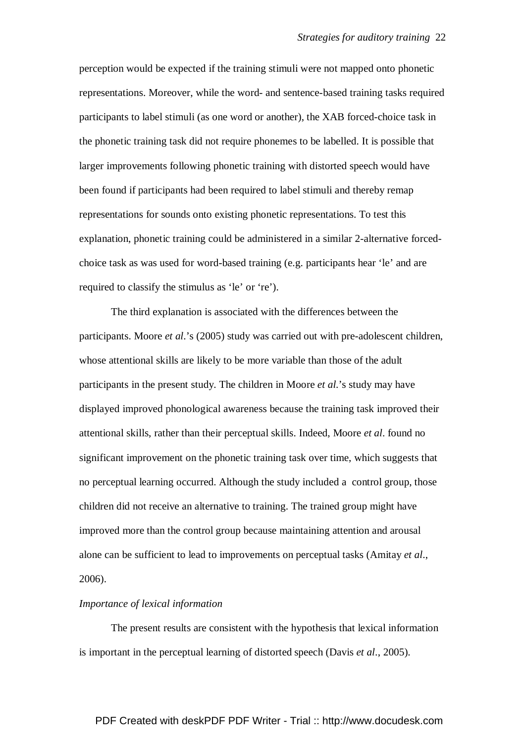perception would be expected if the training stimuli were not mapped onto phonetic representations. Moreover, while the word- and sentence-based training tasks required participants to label stimuli (as one word or another), the XAB forced-choice task in the phonetic training task did not require phonemes to be labelled. It is possible that larger improvements following phonetic training with distorted speech would have been found if participants had been required to label stimuli and thereby remap representations for sounds onto existing phonetic representations. To test this explanation, phonetic training could be administered in a similar 2-alternative forcedchoice task as was used for word-based training (e.g. participants hear 'le' and are required to classify the stimulus as 'le' or 're').

 The third explanation is associated with the differences between the participants. Moore *et al*.'s (2005) study was carried out with pre-adolescent children, whose attentional skills are likely to be more variable than those of the adult participants in the present study. The children in Moore *et al*.'s study may have displayed improved phonological awareness because the training task improved their attentional skills, rather than their perceptual skills. Indeed, Moore *et al*. found no significant improvement on the phonetic training task over time, which suggests that no perceptual learning occurred. Although the study included a control group, those children did not receive an alternative to training. The trained group might have improved more than the control group because maintaining attention and arousal alone can be sufficient to lead to improvements on perceptual tasks (Amitay *et al*., 2006).

# *Importance of lexical information*

 The present results are consistent with the hypothesis that lexical information is important in the perceptual learning of distorted speech (Davis *et al*., 2005).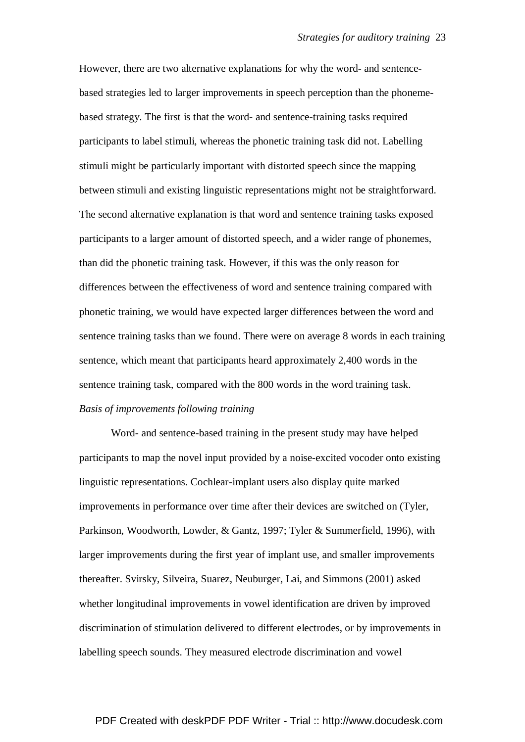However, there are two alternative explanations for why the word- and sentencebased strategies led to larger improvements in speech perception than the phonemebased strategy. The first is that the word- and sentence-training tasks required participants to label stimuli, whereas the phonetic training task did not. Labelling stimuli might be particularly important with distorted speech since the mapping between stimuli and existing linguistic representations might not be straightforward. The second alternative explanation is that word and sentence training tasks exposed participants to a larger amount of distorted speech, and a wider range of phonemes, than did the phonetic training task. However, if this was the only reason for differences between the effectiveness of word and sentence training compared with phonetic training, we would have expected larger differences between the word and sentence training tasks than we found. There were on average 8 words in each training sentence, which meant that participants heard approximately 2,400 words in the sentence training task, compared with the 800 words in the word training task. *Basis of improvements following training* 

 Word- and sentence-based training in the present study may have helped participants to map the novel input provided by a noise-excited vocoder onto existing linguistic representations. Cochlear-implant users also display quite marked improvements in performance over time after their devices are switched on (Tyler, Parkinson, Woodworth, Lowder, & Gantz, 1997; Tyler & Summerfield, 1996), with larger improvements during the first year of implant use, and smaller improvements thereafter. Svirsky, Silveira, Suarez, Neuburger, Lai, and Simmons (2001) asked whether longitudinal improvements in vowel identification are driven by improved discrimination of stimulation delivered to different electrodes, or by improvements in labelling speech sounds. They measured electrode discrimination and vowel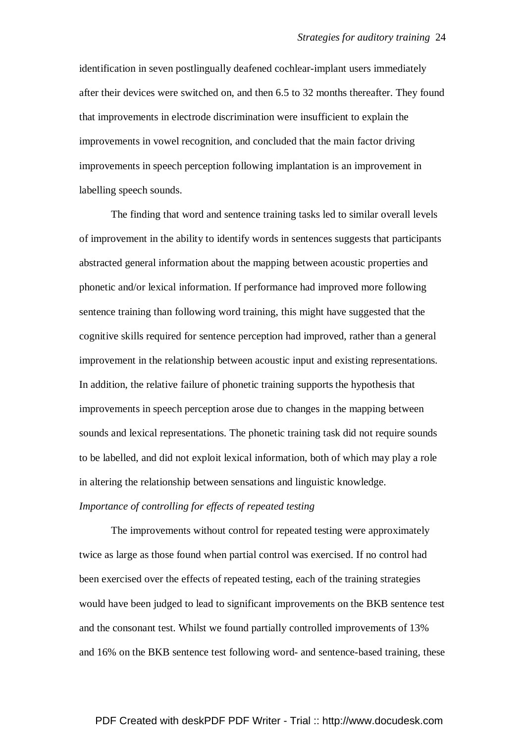identification in seven postlingually deafened cochlear-implant users immediately after their devices were switched on, and then 6.5 to 32 months thereafter. They found that improvements in electrode discrimination were insufficient to explain the improvements in vowel recognition, and concluded that the main factor driving improvements in speech perception following implantation is an improvement in labelling speech sounds.

 The finding that word and sentence training tasks led to similar overall levels of improvement in the ability to identify words in sentences suggests that participants abstracted general information about the mapping between acoustic properties and phonetic and/or lexical information. If performance had improved more following sentence training than following word training, this might have suggested that the cognitive skills required for sentence perception had improved, rather than a general improvement in the relationship between acoustic input and existing representations. In addition, the relative failure of phonetic training supports the hypothesis that improvements in speech perception arose due to changes in the mapping between sounds and lexical representations. The phonetic training task did not require sounds to be labelled, and did not exploit lexical information, both of which may play a role in altering the relationship between sensations and linguistic knowledge. *Importance of controlling for effects of repeated testing* 

 The improvements without control for repeated testing were approximately twice as large as those found when partial control was exercised. If no control had been exercised over the effects of repeated testing, each of the training strategies would have been judged to lead to significant improvements on the BKB sentence test and the consonant test. Whilst we found partially controlled improvements of 13% and 16% on the BKB sentence test following word- and sentence-based training, these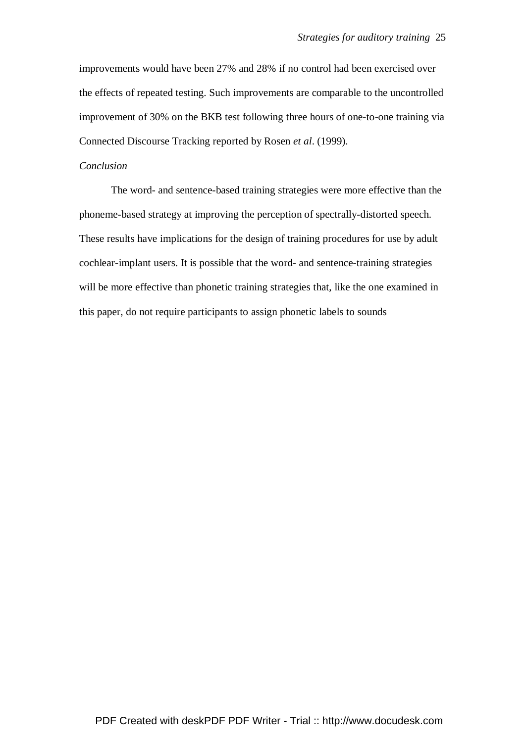improvements would have been 27% and 28% if no control had been exercised over the effects of repeated testing. Such improvements are comparable to the uncontrolled improvement of 30% on the BKB test following three hours of one-to-one training via Connected Discourse Tracking reported by Rosen *et al*. (1999).

# *Conclusion*

 The word- and sentence-based training strategies were more effective than the phoneme-based strategy at improving the perception of spectrally-distorted speech. These results have implications for the design of training procedures for use by adult cochlear-implant users. It is possible that the word- and sentence-training strategies will be more effective than phonetic training strategies that, like the one examined in this paper, do not require participants to assign phonetic labels to sounds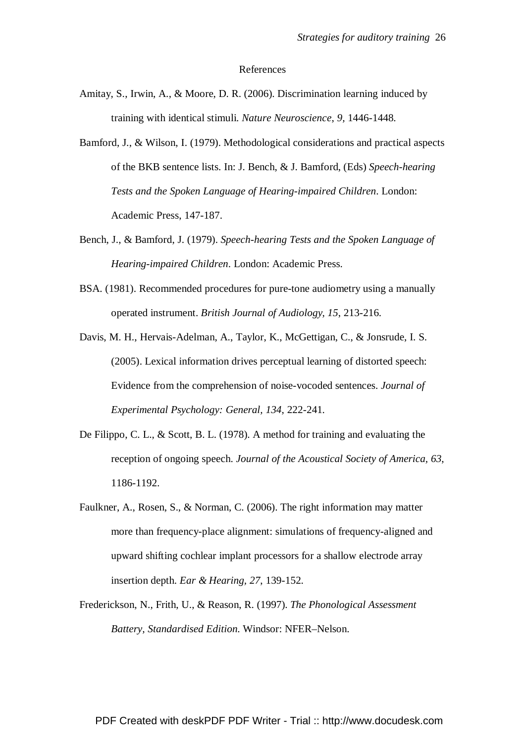#### References

- Amitay, S., Irwin, A., & Moore, D. R. (2006). Discrimination learning induced by training with identical stimuli. *Nature Neuroscience*, *9,* 1446-1448.
- Bamford, J., & Wilson, I. (1979). Methodological considerations and practical aspects of the BKB sentence lists. In: J. Bench, & J. Bamford, (Eds) *Speech-hearing Tests and the Spoken Language of Hearing-impaired Children*. London: Academic Press, 147-187.
- Bench, J., & Bamford, J. (1979). *Speech-hearing Tests and the Spoken Language of Hearing-impaired Children*. London: Academic Press.
- BSA. (1981). Recommended procedures for pure-tone audiometry using a manually operated instrument. *British Journal of Audiology, 15*, 213-216.
- Davis, M. H., Hervais-Adelman, A., Taylor, K., McGettigan, C., & Jonsrude, I. S. (2005). Lexical information drives perceptual learning of distorted speech: Evidence from the comprehension of noise-vocoded sentences. *Journal of Experimental Psychology: General, 134*, 222-241.
- De Filippo, C. L., & Scott, B. L. (1978). A method for training and evaluating the reception of ongoing speech. *Journal of the Acoustical Society of America, 63*, 1186-1192.
- Faulkner, A., Rosen, S., & Norman, C. (2006). The right information may matter more than frequency-place alignment: simulations of frequency-aligned and upward shifting cochlear implant processors for a shallow electrode array insertion depth. *Ear & Hearing, 27*, 139-152.
- Frederickson, N., Frith, U., & Reason, R. (1997). *The Phonological Assessment Battery, Standardised Edition*. Windsor: NFER–Nelson.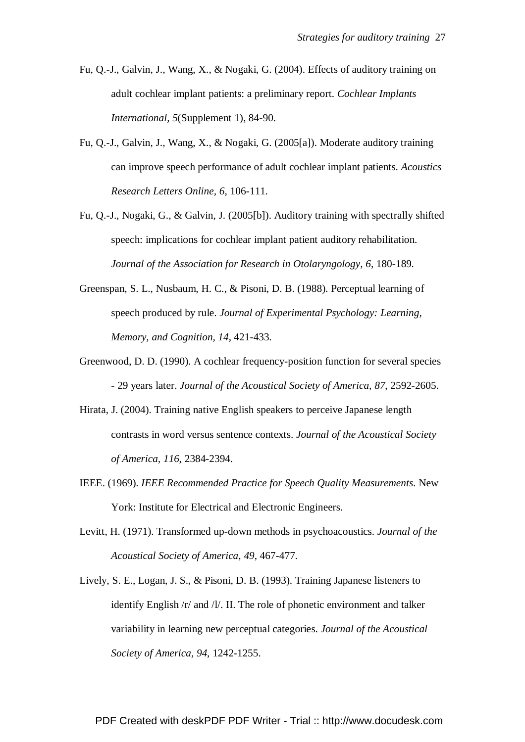- Fu, Q.-J., Galvin, J., Wang, X., & Nogaki, G. (2004). Effects of auditory training on adult cochlear implant patients: a preliminary report. *Cochlear Implants International, 5*(Supplement 1), 84-90.
- Fu, Q.-J., Galvin, J., Wang, X., & Nogaki, G. (2005[a]). Moderate auditory training can improve speech performance of adult cochlear implant patients. *Acoustics Research Letters Online, 6*, 106-111.
- Fu, Q.-J., Nogaki, G., & Galvin, J. (2005[b]). Auditory training with spectrally shifted speech: implications for cochlear implant patient auditory rehabilitation. *Journal of the Association for Research in Otolaryngology, 6*, 180-189.
- Greenspan, S. L., Nusbaum, H. C., & Pisoni, D. B. (1988). Perceptual learning of speech produced by rule. *Journal of Experimental Psychology: Learning, Memory, and Cognition, 14*, 421-433.
- Greenwood, D. D. (1990). A cochlear frequency-position function for several species - 29 years later. *Journal of the Acoustical Society of America, 87*, 2592-2605.
- Hirata, J. (2004). Training native English speakers to perceive Japanese length contrasts in word versus sentence contexts. *Journal of the Acoustical Society of America, 116*, 2384-2394.
- IEEE. (1969). *IEEE Recommended Practice for Speech Quality Measurements*. New York: Institute for Electrical and Electronic Engineers.
- Levitt, H. (1971). Transformed up-down methods in psychoacoustics. *Journal of the Acoustical Society of America, 49*, 467-477.
- Lively, S. E., Logan, J. S., & Pisoni, D. B. (1993). Training Japanese listeners to identify English /r/ and /l/. II. The role of phonetic environment and talker variability in learning new perceptual categories. *Journal of the Acoustical Society of America, 94*, 1242-1255.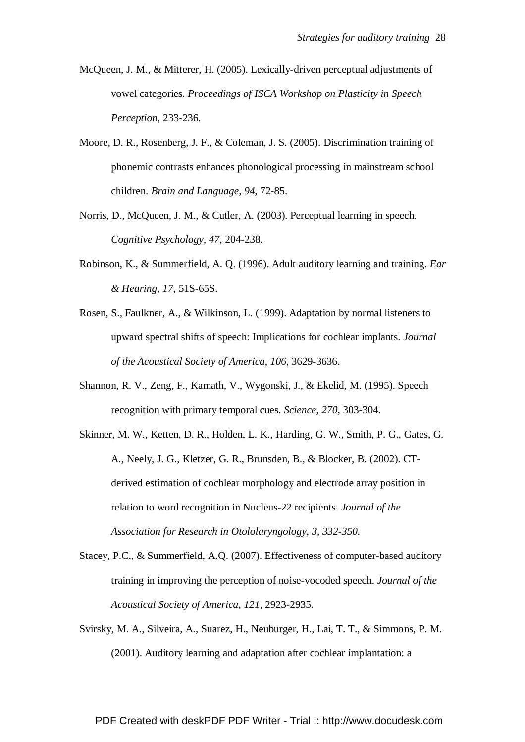- McQueen, J. M., & Mitterer, H. (2005). Lexically-driven perceptual adjustments of vowel categories. *Proceedings of ISCA Workshop on Plasticity in Speech Perception*, 233-236.
- Moore, D. R., Rosenberg, J. F., & Coleman, J. S. (2005). Discrimination training of phonemic contrasts enhances phonological processing in mainstream school children. *Brain and Language, 94*, 72-85.
- Norris, D., McQueen, J. M., & Cutler, A. (2003). Perceptual learning in speech. *Cognitive Psychology, 47*, 204-238.
- Robinson, K., & Summerfield, A. Q. (1996). Adult auditory learning and training. *Ear & Hearing, 17*, 51S-65S.
- Rosen, S., Faulkner, A., & Wilkinson, L. (1999). Adaptation by normal listeners to upward spectral shifts of speech: Implications for cochlear implants. *Journal of the Acoustical Society of America, 106*, 3629-3636.
- Shannon, R. V., Zeng, F., Kamath, V., Wygonski, J., & Ekelid, M. (1995). Speech recognition with primary temporal cues. *Science, 270*, 303-304.
- Skinner, M. W., Ketten, D. R., Holden, L. K., Harding, G. W., Smith, P. G., Gates, G. A., Neely, J. G., Kletzer, G. R., Brunsden, B., & Blocker, B. (2002). CTderived estimation of cochlear morphology and electrode array position in relation to word recognition in Nucleus-22 recipients. *Journal of the Association for Research in Otololaryngology, 3, 332-350.*
- Stacey, P.C., & Summerfield, A.Q. (2007). Effectiveness of computer-based auditory training in improving the perception of noise-vocoded speech. *Journal of the Acoustical Society of America, 121,* 2923-2935.
- Svirsky, M. A., Silveira, A., Suarez, H., Neuburger, H., Lai, T. T., & Simmons, P. M. (2001). Auditory learning and adaptation after cochlear implantation: a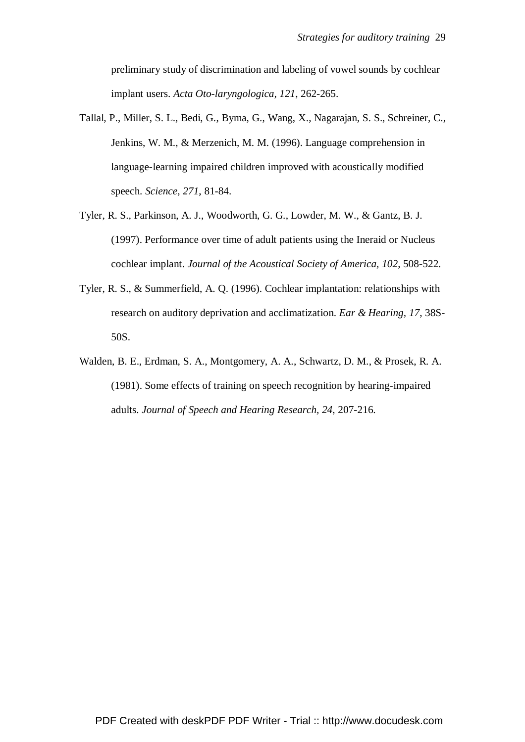preliminary study of discrimination and labeling of vowel sounds by cochlear implant users. *Acta Oto-laryngologica, 121*, 262-265.

- Tallal, P., Miller, S. L., Bedi, G., Byma, G., Wang, X., Nagarajan, S. S., Schreiner, C., Jenkins, W. M., & Merzenich, M. M. (1996). Language comprehension in language-learning impaired children improved with acoustically modified speech. *Science, 271*, 81-84.
- Tyler, R. S., Parkinson, A. J., Woodworth, G. G., Lowder, M. W., & Gantz, B. J. (1997). Performance over time of adult patients using the Ineraid or Nucleus cochlear implant. *Journal of the Acoustical Society of America, 102*, 508-522.
- Tyler, R. S., & Summerfield, A. Q. (1996). Cochlear implantation: relationships with research on auditory deprivation and acclimatization. *Ear & Hearing, 17*, 38S-50S.
- Walden, B. E., Erdman, S. A., Montgomery, A. A., Schwartz, D. M., & Prosek, R. A. (1981). Some effects of training on speech recognition by hearing-impaired adults. *Journal of Speech and Hearing Research, 24*, 207-216.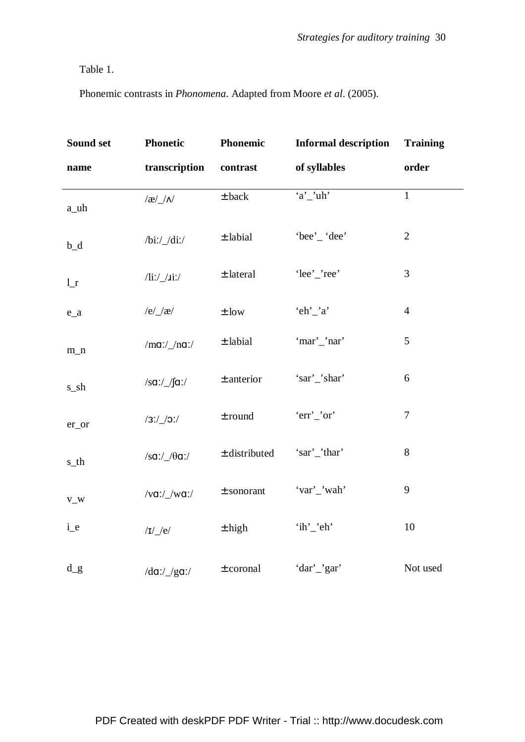Table 1.

Phonemic contrasts in *Phonomena*. Adapted from Moore *et al*. (2005).

| Sound set      | <b>Phonetic</b>              | Phonemic          | <b>Informal description</b> | <b>Training</b> |
|----------------|------------------------------|-------------------|-----------------------------|-----------------|
| name           | transcription                | contrast          | of syllables                | order           |
| a_uh           | $\frac{1}{\alpha}$           | $\pm$ back        | $a'$ _'uh'                  | $\mathbf{1}$    |
| $b_d$          | $/bi$ :/ $/di$ :/            | $\pm$ labial      | 'bee'_'dee'                 | $\overline{2}$  |
| 1 <sub>r</sub> | $\frac{1}{\sin \frac{1}{2}}$ | $\pm$ lateral     | 'lee'_'ree'                 | 3               |
| $e_a$          | $/e/\chi$                    | $\pm$ low         | 'eh'_'a'                    | $\overline{4}$  |
| $m_n$          | /ma://na://                  | $\pm$ labial      | 'mar'_'nar'                 | 5               |
| s_sh           | /sa:/ $\sqrt{a}$ :/          | $±$ anterior      | 'sar'_'shar'                | 6               |
| er_or          | $/3!/\_/0!/$                 | $\pm$ round       | 'err'_'or'                  | 7               |
| s_th           | $/sa$ :/_ $/θa$ :/           | $\pm$ distributed | 'sar'_'thar'                | 8               |
| $V_{\perp}W$   | $/va$ :/_/wa:/               | $±$ sonorant      | 'var'_'wah'                 | 9               |
| i_e            | / $I/\ell$                   | $\pm$ high        | 'ih'_'eh'                   | 10              |
| $d_g$          | $/da$ :/_/ga:/               | $\pm$ coronal     | 'dar'_'gar'                 | Not used        |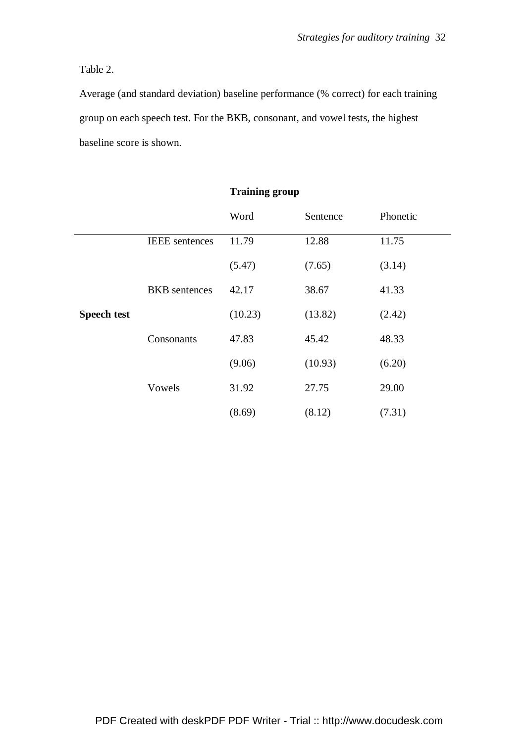Table 2.

Average (and standard deviation) baseline performance (% correct) for each training group on each speech test. For the BKB, consonant, and vowel tests, the highest baseline score is shown.

|                    |                       | Word    | Sentence | Phonetic |
|--------------------|-----------------------|---------|----------|----------|
|                    | <b>IEEE</b> sentences | 11.79   | 12.88    | 11.75    |
|                    |                       | (5.47)  | (7.65)   | (3.14)   |
|                    | <b>BKB</b> sentences  | 42.17   | 38.67    | 41.33    |
| <b>Speech test</b> |                       | (10.23) | (13.82)  | (2.42)   |
|                    | Consonants            | 47.83   | 45.42    | 48.33    |
|                    |                       | (9.06)  | (10.93)  | (6.20)   |
|                    | Vowels                | 31.92   | 27.75    | 29.00    |
|                    |                       | (8.69)  | (8.12)   | (7.31)   |

# **Training group**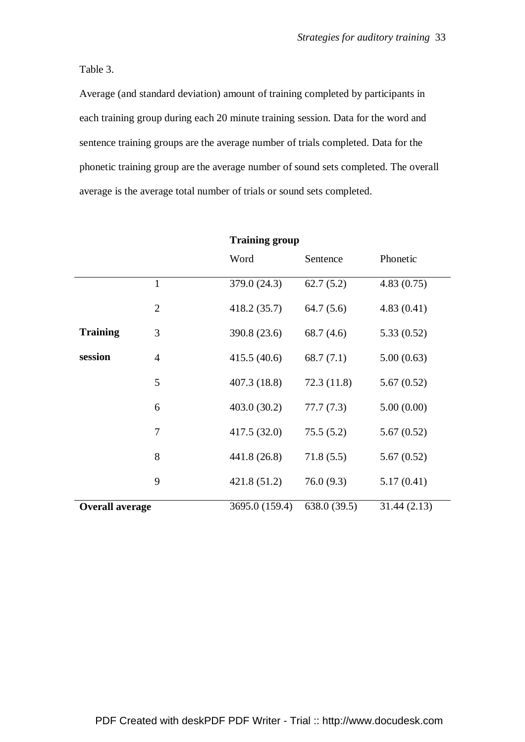Table 3.

Average (and standard deviation) amount of training completed by participants in each training group during each 20 minute training session. Data for the word and sentence training groups are the average number of trials completed. Data for the phonetic training group are the average number of sound sets completed. The overall average is the average total number of trials or sound sets completed.

|                        |                |                | <b>Training group</b> |             |  |
|------------------------|----------------|----------------|-----------------------|-------------|--|
|                        |                | Word           | Sentence              | Phonetic    |  |
|                        | $\mathbf{1}$   | 379.0 (24.3)   | 62.7(5.2)             | 4.83(0.75)  |  |
|                        | $\overline{2}$ | 418.2 (35.7)   | 64.7(5.6)             | 4.83(0.41)  |  |
| <b>Training</b>        | 3              | 390.8 (23.6)   | 68.7(4.6)             | 5.33(0.52)  |  |
| session                | $\overline{4}$ | 415.5(40.6)    | 68.7(7.1)             | 5.00(0.63)  |  |
|                        | 5              | 407.3 (18.8)   | 72.3(11.8)            | 5.67(0.52)  |  |
|                        | 6              | 403.0 (30.2)   | 77.7(7.3)             | 5.00(0.00)  |  |
|                        | 7              | 417.5 (32.0)   | 75.5(5.2)             | 5.67(0.52)  |  |
|                        | 8              | 441.8 (26.8)   | 71.8(5.5)             | 5.67(0.52)  |  |
|                        | 9              | 421.8 (51.2)   | 76.0(9.3)             | 5.17(0.41)  |  |
| <b>Overall average</b> |                | 3695.0 (159.4) | 638.0 (39.5)          | 31.44(2.13) |  |

PDF Created with deskPDF PDF Writer - Trial :: http://www.docudesk.com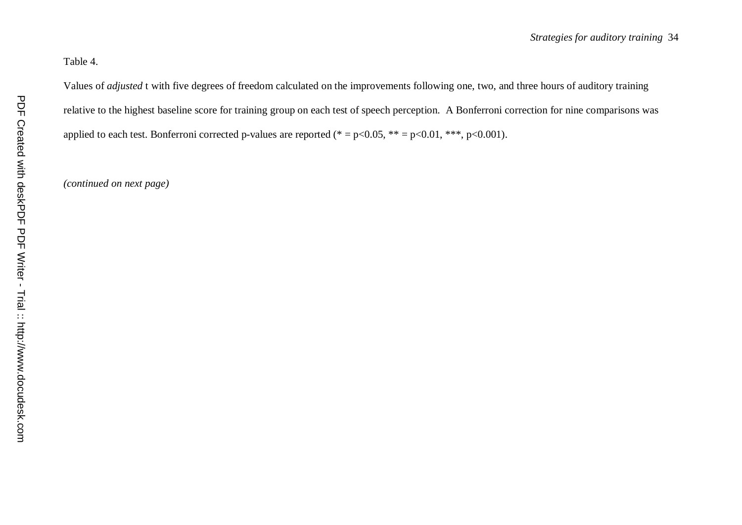# Table 4.

Values of *adjusted* t with five degrees of freedom calculated on the improvements following one, two, and three hours of auditory training relative to the highest baseline score for training group on each test of speech perception. A Bonferroni correction for nine comparisons was applied to each test. Bonferroni corrected p-values are reported (\* =  $p<0.05$ , \*\* =  $p<0.01$ , \*\*\*,  $p<0.001$ ).

*(continued on next page)*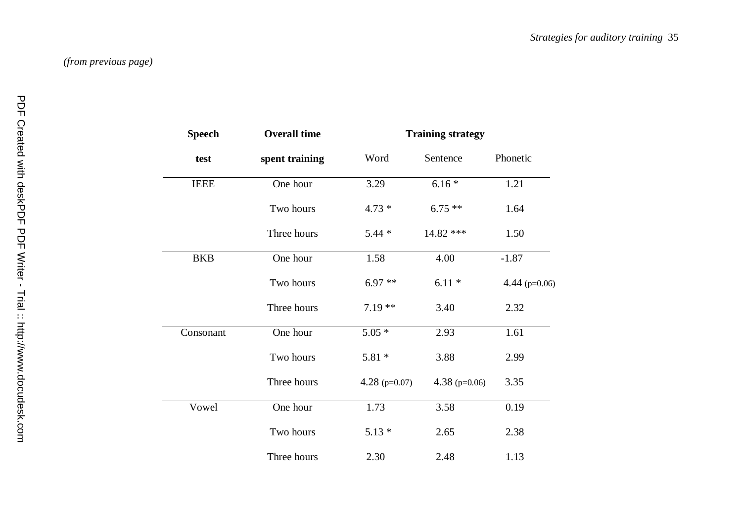| <b>Speech</b> | <b>Overall time</b> | <b>Training strategy</b> |                   |                   |
|---------------|---------------------|--------------------------|-------------------|-------------------|
| test          | spent training      | Word                     | Sentence          | Phonetic          |
| <b>IEEE</b>   | One hour            | 3.29                     | $6.16*$           | 1.21              |
|               | Two hours           | $4.73*$                  | $6.75**$          | 1.64              |
|               | Three hours         | $5.44*$                  | 14.82 ***         | 1.50              |
| <b>BKB</b>    | One hour            | 1.58                     | 4.00              | $-1.87$           |
|               | Two hours           | $6.97**$                 | $6.11*$           | 4.44 ( $p=0.06$ ) |
|               | Three hours         | $7.19**$                 | 3.40              | 2.32              |
| Consonant     | One hour            | $5.05*$                  | 2.93              | 1.61              |
|               | Two hours           | $5.81*$                  | 3.88              | 2.99              |
|               | Three hours         | 4.28 ( $p=0.07$ )        | 4.38 ( $p=0.06$ ) | 3.35              |
| Vowel         | One hour            | 1.73                     | 3.58              | 0.19              |
|               | Two hours           | $5.13*$                  | 2.65              | 2.38              |
|               | Three hours         | 2.30                     | 2.48              | 1.13              |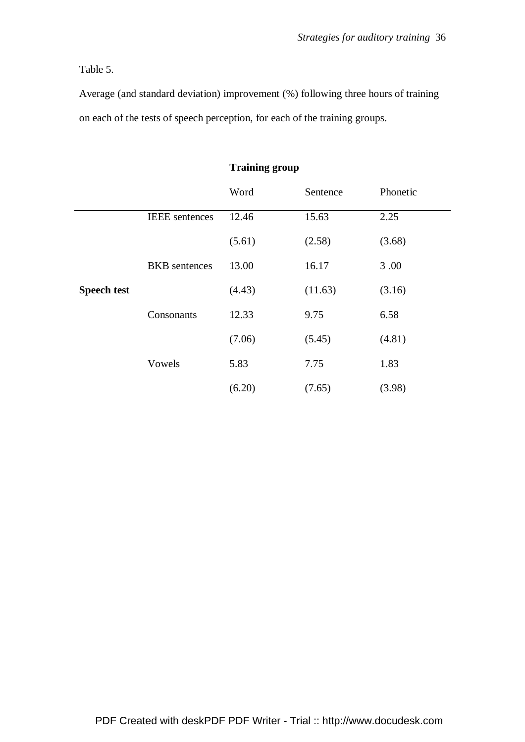# Table 5.

Average (and standard deviation) improvement (%) following three hours of training on each of the tests of speech perception, for each of the training groups.

|                    |                       | Training group |          |          |
|--------------------|-----------------------|----------------|----------|----------|
|                    |                       | Word           | Sentence | Phonetic |
|                    | <b>IEEE</b> sentences | 12.46          | 15.63    | 2.25     |
|                    |                       | (5.61)         | (2.58)   | (3.68)   |
|                    | <b>BKB</b> sentences  | 13.00          | 16.17    | 3.00     |
| <b>Speech test</b> |                       | (4.43)         | (11.63)  | (3.16)   |
|                    | Consonants            | 12.33          | 9.75     | 6.58     |
|                    |                       | (7.06)         | (5.45)   | (4.81)   |
|                    | Vowels                | 5.83           | 7.75     | 1.83     |
|                    |                       | (6.20)         | (7.65)   | (3.98)   |

### **Training group**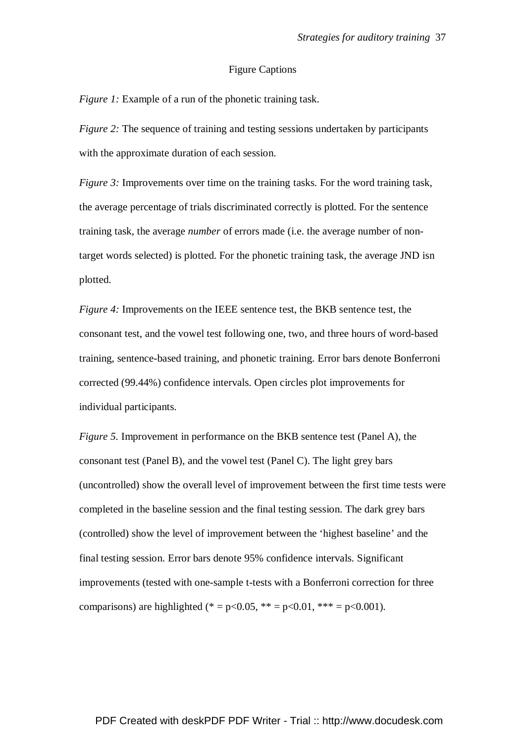### Figure Captions

*Figure 1:* Example of a run of the phonetic training task.

*Figure 2:* The sequence of training and testing sessions undertaken by participants with the approximate duration of each session.

*Figure 3:* Improvements over time on the training tasks. For the word training task, the average percentage of trials discriminated correctly is plotted. For the sentence training task, the average *number* of errors made (i.e. the average number of nontarget words selected) is plotted. For the phonetic training task, the average JND isn plotted.

*Figure 4:* Improvements on the IEEE sentence test, the BKB sentence test, the consonant test, and the vowel test following one, two, and three hours of word-based training, sentence-based training, and phonetic training. Error bars denote Bonferroni corrected (99.44%) confidence intervals. Open circles plot improvements for individual participants.

*Figure 5.* Improvement in performance on the BKB sentence test (Panel A), the consonant test (Panel B), and the vowel test (Panel C). The light grey bars (uncontrolled) show the overall level of improvement between the first time tests were completed in the baseline session and the final testing session. The dark grey bars (controlled) show the level of improvement between the 'highest baseline' and the final testing session. Error bars denote 95% confidence intervals. Significant improvements (tested with one-sample t-tests with a Bonferroni correction for three comparisons) are highlighted (\* = p<0.05, \*\* = p<0.01, \*\*\* = p<0.001).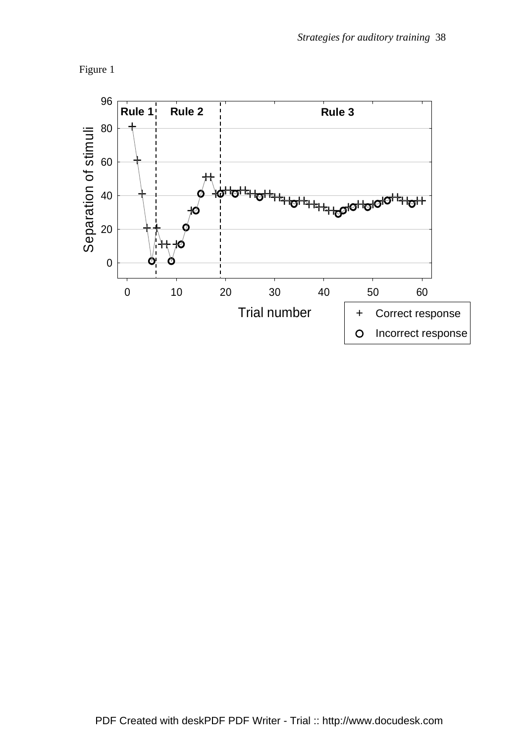

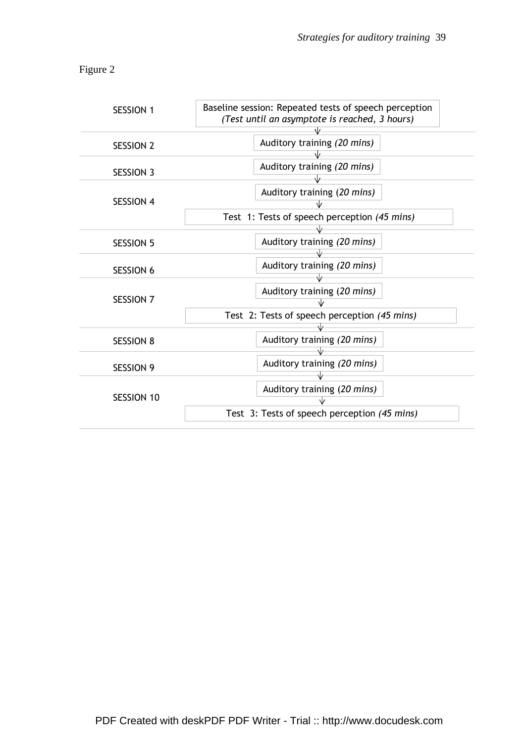Figure 2

| <b>SESSION 1</b>  | Baseline session: Repeated tests of speech perception<br>(Test until an asymptote is reached, 3 hours) |
|-------------------|--------------------------------------------------------------------------------------------------------|
| <b>SESSION 2</b>  | Auditory training (20 mins)                                                                            |
| <b>SESSION 3</b>  | Auditory training (20 mins)                                                                            |
| <b>SESSION 4</b>  | Auditory training (20 mins)<br>Test 1: Tests of speech perception (45 mins)                            |
| <b>SESSION 5</b>  | Auditory training (20 mins)                                                                            |
| <b>SESSION 6</b>  | Auditory training (20 mins)                                                                            |
| <b>SESSION 7</b>  | Auditory training (20 mins)                                                                            |
|                   | Test 2: Tests of speech perception (45 mins)                                                           |
| <b>SESSION 8</b>  | Auditory training (20 mins)                                                                            |
| <b>SESSION 9</b>  | Auditory training (20 mins)                                                                            |
| <b>SESSION 10</b> | Auditory training (20 mins)<br>Test 3: Tests of speech perception (45 mins)                            |
|                   |                                                                                                        |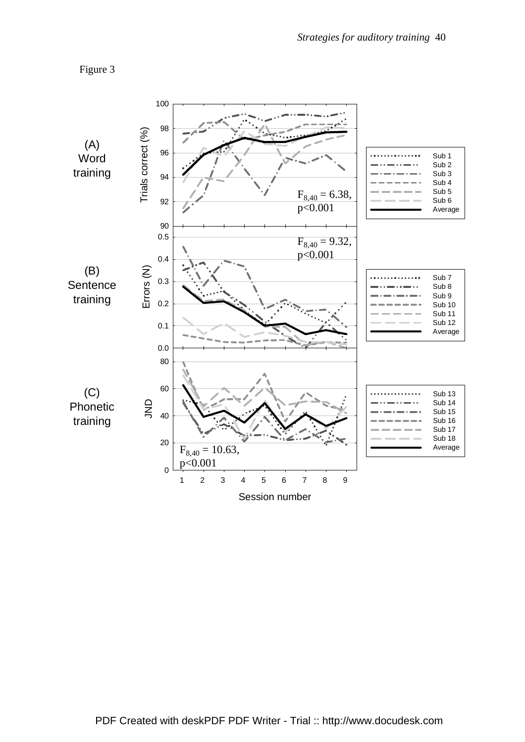

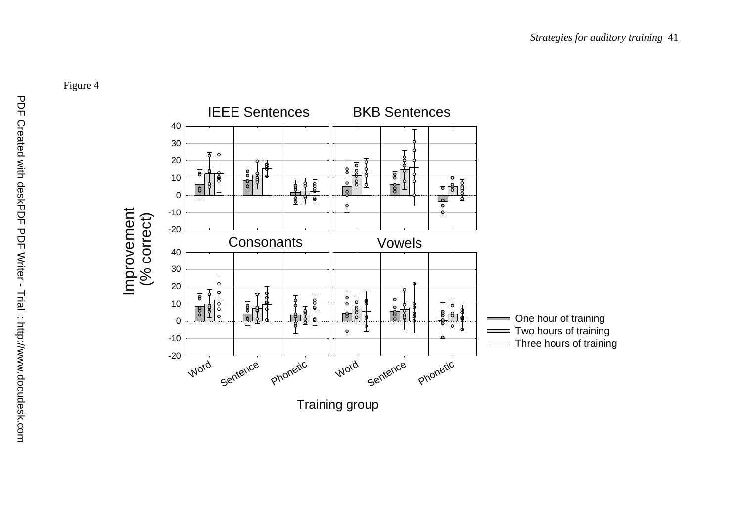